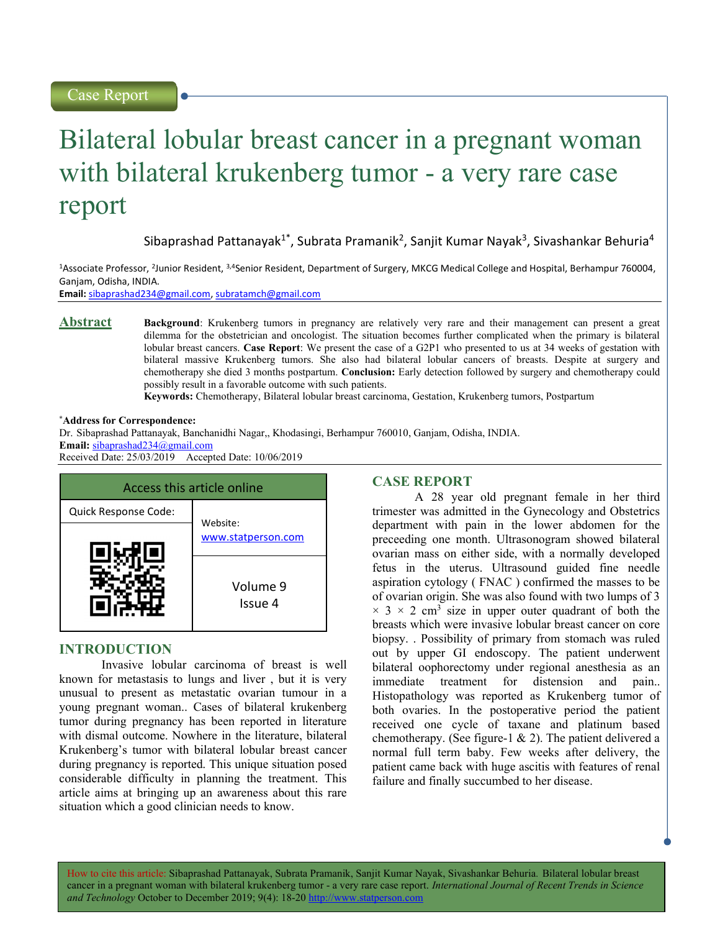# Bilateral lobular breast cancer in a pregnant woman with bilateral krukenberg tumor - a very rare case report

Sibaprashad Pattanayak<sup>1\*</sup>, Subrata Pramanik<sup>2</sup>, Sanjit Kumar Nayak<sup>3</sup>, Sivashankar Behuria<sup>4</sup>

<sup>1</sup>Associate Professor, <sup>2</sup>Junior Resident, <sup>3,4</sup>Senior Resident, Department of Surgery, MKCG Medical College and Hospital, Berhampur 760004, Ganjam, Odisha, INDIA.

Email: sibaprashad234@gmail.com, subratamch@gmail.com

Abstract Background: Krukenberg tumors in pregnancy are relatively very rare and their management can present a great dilemma for the obstetrician and oncologist. The situation becomes further complicated when the primary is bilateral lobular breast cancers. Case Report: We present the case of a G2P1 who presented to us at 34 weeks of gestation with bilateral massive Krukenberg tumors. She also had bilateral lobular cancers of breasts. Despite at surgery and chemotherapy she died 3 months postpartum. Conclusion: Early detection followed by surgery and chemotherapy could possibly result in a favorable outcome with such patients.

Keywords: Chemotherapy, Bilateral lobular breast carcinoma, Gestation, Krukenberg tumors, Postpartum

#### \*Address for Correspondence:

Dr. Sibaprashad Pattanayak, Banchanidhi Nagar,, Khodasingi, Berhampur 760010, Ganjam, Odisha, INDIA. Email: sibaprashad234@gmail.com Received Date: 25/03/2019 Accepted Date: 10/06/2019

| Access this article online |                     |
|----------------------------|---------------------|
| Quick Response Code:       | Website:            |
|                            | www.statperson.com  |
|                            | Volume 9<br>Issue 4 |

## INTRODUCTION

Invasive lobular carcinoma of breast is well known for metastasis to lungs and liver , but it is very unusual to present as metastatic ovarian tumour in a young pregnant woman.. Cases of bilateral krukenberg tumor during pregnancy has been reported in literature with dismal outcome. Nowhere in the literature, bilateral Krukenberg's tumor with bilateral lobular breast cancer during pregnancy is reported. This unique situation posed considerable difficulty in planning the treatment. This article aims at bringing up an awareness about this rare situation which a good clinician needs to know.

#### CASE REPORT

A 28 year old pregnant female in her third trimester was admitted in the Gynecology and Obstetrics department with pain in the lower abdomen for the preceeding one month. Ultrasonogram showed bilateral ovarian mass on either side, with a normally developed fetus in the uterus. Ultrasound guided fine needle aspiration cytology ( FNAC ) confirmed the masses to be of ovarian origin. She was also found with two lumps of 3  $\times$  3  $\times$  2 cm<sup>3</sup> size in upper outer quadrant of both the breasts which were invasive lobular breast cancer on core biopsy. . Possibility of primary from stomach was ruled out by upper GI endoscopy. The patient underwent bilateral oophorectomy under regional anesthesia as an immediate treatment for distension and pain.. Histopathology was reported as Krukenberg tumor of both ovaries. In the postoperative period the patient received one cycle of taxane and platinum based chemotherapy. (See figure-1 & 2). The patient delivered a normal full term baby. Few weeks after delivery, the patient came back with huge ascitis with features of renal failure and finally succumbed to her disease.

How to cite this article: Sibaprashad Pattanayak, Subrata Pramanik, Sanjit Kumar Nayak, Sivashankar Behuria. Bilateral lobular breast cancer in a pregnant woman with bilateral krukenberg tumor - a very rare case report. International Journal of Recent Trends in Science and Technology October to December 2019; 9(4): 18-20 http://www.statperson.com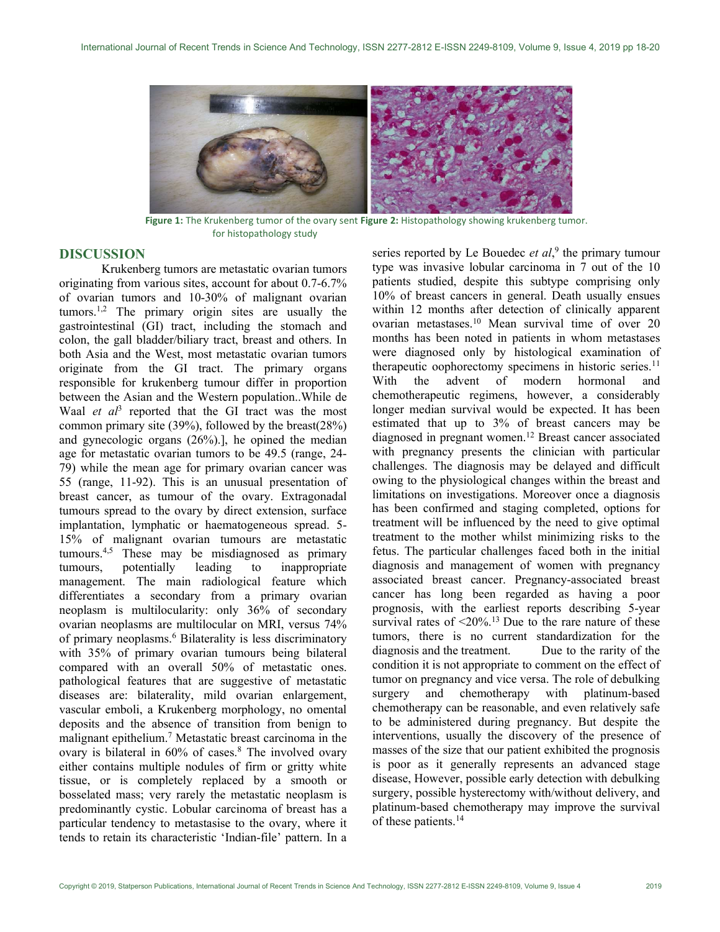

Figure 1: The Krukenberg tumor of the ovary sent Figure 2: Histopathology showing krukenberg tumor. for histopathology study

## DISCUSSION

Krukenberg tumors are metastatic ovarian tumors originating from various sites, account for about 0.7-6.7% of ovarian tumors and 10-30% of malignant ovarian tumors.<sup>1,2</sup> The primary origin sites are usually the gastrointestinal (GI) tract, including the stomach and colon, the gall bladder/biliary tract, breast and others. In both Asia and the West, most metastatic ovarian tumors originate from the GI tract. The primary organs responsible for krukenberg tumour differ in proportion between the Asian and the Western population..While de Waal et  $aI<sup>3</sup>$  reported that the GI tract was the most common primary site (39%), followed by the breast(28%) and gynecologic organs (26%).], he opined the median age for metastatic ovarian tumors to be 49.5 (range, 24- 79) while the mean age for primary ovarian cancer was 55 (range, 11-92). This is an unusual presentation of breast cancer, as tumour of the ovary. Extragonadal tumours spread to the ovary by direct extension, surface implantation, lymphatic or haematogeneous spread. 5- 15% of malignant ovarian tumours are metastatic tumours.4,5 These may be misdiagnosed as primary tumours, potentially leading to inappropriate management. The main radiological feature which differentiates a secondary from a primary ovarian neoplasm is multilocularity: only 36% of secondary ovarian neoplasms are multilocular on MRI, versus 74% of primary neoplasms.<sup>6</sup> Bilaterality is less discriminatory with 35% of primary ovarian tumours being bilateral compared with an overall 50% of metastatic ones. pathological features that are suggestive of metastatic diseases are: bilaterality, mild ovarian enlargement, vascular emboli, a Krukenberg morphology, no omental deposits and the absence of transition from benign to malignant epithelium.<sup>7</sup> Metastatic breast carcinoma in the ovary is bilateral in 60% of cases.<sup>8</sup> The involved ovary either contains multiple nodules of firm or gritty white tissue, or is completely replaced by a smooth or bosselated mass; very rarely the metastatic neoplasm is predominantly cystic. Lobular carcinoma of breast has a particular tendency to metastasise to the ovary, where it tends to retain its characteristic 'Indian-file' pattern. In a

series reported by Le Bouedec *et al*,<sup>9</sup> the primary tumour type was invasive lobular carcinoma in 7 out of the 10 patients studied, despite this subtype comprising only 10% of breast cancers in general. Death usually ensues within 12 months after detection of clinically apparent ovarian metastases.<sup>10</sup> Mean survival time of over 20 months has been noted in patients in whom metastases were diagnosed only by histological examination of therapeutic oophorectomy specimens in historic series.<sup>11</sup> With the advent of modern hormonal and chemotherapeutic regimens, however, a considerably longer median survival would be expected. It has been estimated that up to 3% of breast cancers may be diagnosed in pregnant women.<sup>12</sup> Breast cancer associated with pregnancy presents the clinician with particular challenges. The diagnosis may be delayed and difficult owing to the physiological changes within the breast and limitations on investigations. Moreover once a diagnosis has been confirmed and staging completed, options for treatment will be influenced by the need to give optimal treatment to the mother whilst minimizing risks to the fetus. The particular challenges faced both in the initial diagnosis and management of women with pregnancy associated breast cancer. Pregnancy-associated breast cancer has long been regarded as having a poor prognosis, with the earliest reports describing 5-year survival rates of  $\leq 20\%$ .<sup>13</sup> Due to the rare nature of these tumors, there is no current standardization for the diagnosis and the treatment. Due to the rarity of the condition it is not appropriate to comment on the effect of tumor on pregnancy and vice versa. The role of debulking surgery and chemotherapy with platinum-based chemotherapy can be reasonable, and even relatively safe to be administered during pregnancy. But despite the interventions, usually the discovery of the presence of masses of the size that our patient exhibited the prognosis is poor as it generally represents an advanced stage disease, However, possible early detection with debulking surgery, possible hysterectomy with/without delivery, and platinum-based chemotherapy may improve the survival of these patients.14